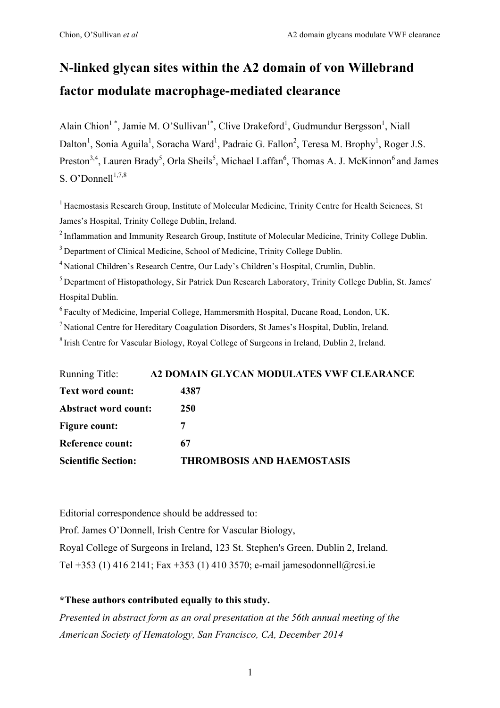# **N-linked glycan sites within the A2 domain of von Willebrand factor modulate macrophage-mediated clearance**

Alain Chion<sup>1</sup><sup>\*</sup>, Jamie M. O'Sullivan<sup>1\*</sup>, Clive Drakeford<sup>1</sup>, Gudmundur Bergsson<sup>1</sup>, Niall Dalton<sup>1</sup>, Sonia Aguila<sup>1</sup>, Soracha Ward<sup>1</sup>, Padraic G. Fallon<sup>2</sup>, Teresa M. Brophy<sup>1</sup>, Roger J.S. Preston<sup>3,4</sup>, Lauren Brady<sup>5</sup>, Orla Sheils<sup>5</sup>, Michael Laffan<sup>6</sup>, Thomas A. J. McKinnon<sup>6</sup> and James S. O'Donnell $1,7,8$ 

<sup>1</sup> Haemostasis Research Group, Institute of Molecular Medicine, Trinity Centre for Health Sciences, St James's Hospital, Trinity College Dublin, Ireland.

<sup>2</sup> Inflammation and Immunity Research Group, Institute of Molecular Medicine, Trinity College Dublin.

<sup>3</sup> Department of Clinical Medicine, School of Medicine, Trinity College Dublin.

<sup>4</sup> National Children's Research Centre, Our Lady's Children's Hospital, Crumlin, Dublin.

5 Department of Histopathology, Sir Patrick Dun Research Laboratory, Trinity College Dublin, St. James' Hospital Dublin.

6 Faculty of Medicine, Imperial College, Hammersmith Hospital, Ducane Road, London, UK.

 $<sup>7</sup>$  National Centre for Hereditary Coagulation Disorders, St James's Hospital, Dublin, Ireland.</sup>

8 Irish Centre for Vascular Biology, Royal College of Surgeons in Ireland, Dublin 2, Ireland.

| Running Title:              | A2 DOMAIN GLYCAN MODULATES VWF CLEARANCE |
|-----------------------------|------------------------------------------|
| <b>Text word count:</b>     | 4387                                     |
| <b>Abstract word count:</b> | <b>250</b>                               |
| <b>Figure count:</b>        |                                          |
| Reference count:            | 67                                       |
| <b>Scientific Section:</b>  | <b>THROMBOSIS AND HAEMOSTASIS</b>        |

Editorial correspondence should be addressed to:

Prof. James O'Donnell, Irish Centre for Vascular Biology, Royal College of Surgeons in Ireland, 123 St. Stephen's Green, Dublin 2, Ireland. Tel +353 (1) 416 2141; Fax +353 (1) 410 3570; e-mail jamesodonnell@rcsi.ie

### **\*These authors contributed equally to this study.**

*Presented in abstract form as an oral presentation at the 56th annual meeting of the American Society of Hematology, San Francisco, CA, December 2014*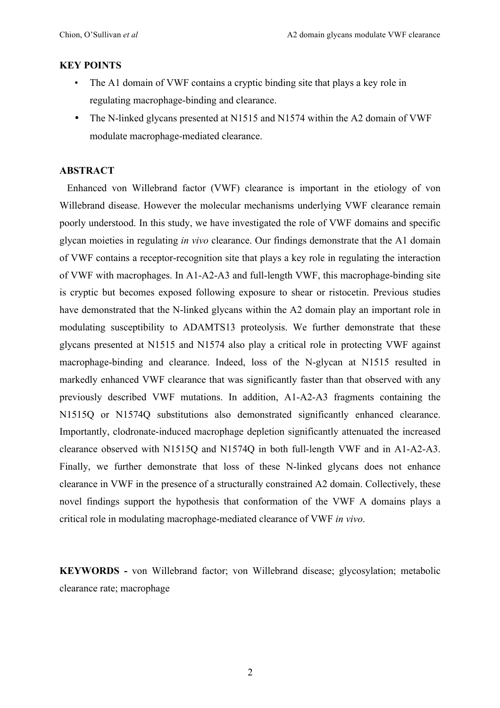### **KEY POINTS**

- The A1 domain of VWF contains a cryptic binding site that plays a key role in regulating macrophage-binding and clearance.
- The N-linked glycans presented at N1515 and N1574 within the A2 domain of VWF modulate macrophage-mediated clearance.

### **ABSTRACT**

 Enhanced von Willebrand factor (VWF) clearance is important in the etiology of von Willebrand disease. However the molecular mechanisms underlying VWF clearance remain poorly understood. In this study, we have investigated the role of VWF domains and specific glycan moieties in regulating *in vivo* clearance. Our findings demonstrate that the A1 domain of VWF contains a receptor-recognition site that plays a key role in regulating the interaction of VWF with macrophages. In A1-A2-A3 and full-length VWF, this macrophage-binding site is cryptic but becomes exposed following exposure to shear or ristocetin. Previous studies have demonstrated that the N-linked glycans within the A2 domain play an important role in modulating susceptibility to ADAMTS13 proteolysis. We further demonstrate that these glycans presented at N1515 and N1574 also play a critical role in protecting VWF against macrophage-binding and clearance. Indeed, loss of the N-glycan at N1515 resulted in markedly enhanced VWF clearance that was significantly faster than that observed with any previously described VWF mutations. In addition, A1-A2-A3 fragments containing the N1515Q or N1574Q substitutions also demonstrated significantly enhanced clearance. Importantly, clodronate-induced macrophage depletion significantly attenuated the increased clearance observed with N1515Q and N1574Q in both full-length VWF and in A1-A2-A3. Finally, we further demonstrate that loss of these N-linked glycans does not enhance clearance in VWF in the presence of a structurally constrained A2 domain. Collectively, these novel findings support the hypothesis that conformation of the VWF A domains plays a critical role in modulating macrophage-mediated clearance of VWF *in vivo*.

**KEYWORDS -** von Willebrand factor; von Willebrand disease; glycosylation; metabolic clearance rate; macrophage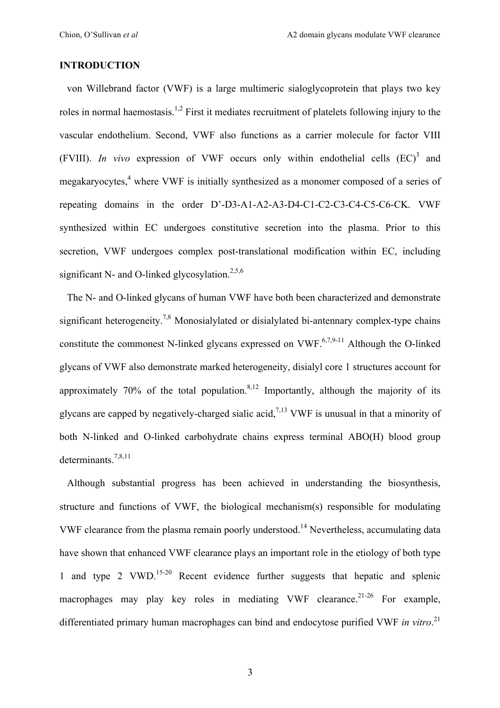### **INTRODUCTION**

 von Willebrand factor (VWF) is a large multimeric sialoglycoprotein that plays two key roles in normal haemostasis.<sup>1,2</sup> First it mediates recruitment of platelets following injury to the vascular endothelium. Second, VWF also functions as a carrier molecule for factor VIII (FVIII). *In vivo* expression of VWF occurs only within endothelial cells  $(EC)^3$  and megakaryocytes,<sup>4</sup> where VWF is initially synthesized as a monomer composed of a series of repeating domains in the order D'-D3-A1-A2-A3-D4-C1-C2-C3-C4-C5-C6-CK. VWF synthesized within EC undergoes constitutive secretion into the plasma. Prior to this secretion, VWF undergoes complex post-translational modification within EC, including significant N- and O-linked glycosylation.<sup>2,5,6</sup>

 The N- and O-linked glycans of human VWF have both been characterized and demonstrate significant heterogeneity.<sup>7,8</sup> Monosialylated or disialylated bi-antennary complex-type chains constitute the commonest N-linked glycans expressed on VWF.<sup>6,7,9-11</sup> Although the O-linked glycans of VWF also demonstrate marked heterogeneity, disialyl core 1 structures account for approximately 70% of the total population.<sup>8,12</sup> Importantly, although the majority of its glycans are capped by negatively-charged sialic acid.<sup>7,13</sup> VWF is unusual in that a minority of both N-linked and O-linked carbohydrate chains express terminal ABO(H) blood group determinants.7,8,11

 Although substantial progress has been achieved in understanding the biosynthesis, structure and functions of VWF, the biological mechanism(s) responsible for modulating VWF clearance from the plasma remain poorly understood.<sup>14</sup> Nevertheless, accumulating data have shown that enhanced VWF clearance plays an important role in the etiology of both type 1 and type 2 VWD. 15-20 Recent evidence further suggests that hepatic and splenic macrophages may play key roles in mediating VWF clearance.<sup>21-26</sup> For example, differentiated primary human macrophages can bind and endocytose purified VWF *in vitro*. 21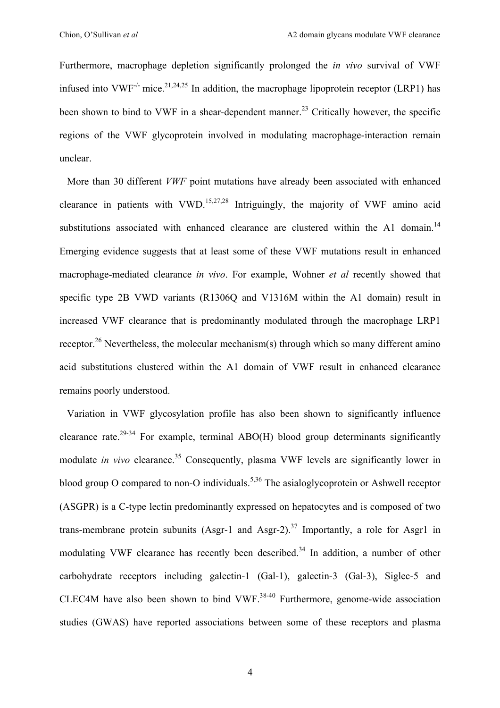Furthermore, macrophage depletion significantly prolonged the *in vivo* survival of VWF infused into VWF<sup>-/-</sup> mice.<sup>21,24,25</sup> In addition, the macrophage lipoprotein receptor (LRP1) has been shown to bind to VWF in a shear-dependent manner.<sup>23</sup> Critically however, the specific regions of the VWF glycoprotein involved in modulating macrophage-interaction remain unclear.

 More than 30 different *VWF* point mutations have already been associated with enhanced clearance in patients with VWD.<sup>15,27,28</sup> Intriguingly, the majority of VWF amino acid substitutions associated with enhanced clearance are clustered within the A1 domain.<sup>14</sup> Emerging evidence suggests that at least some of these VWF mutations result in enhanced macrophage-mediated clearance *in vivo*. For example, Wohner *et al* recently showed that specific type 2B VWD variants (R1306Q and V1316M within the A1 domain) result in increased VWF clearance that is predominantly modulated through the macrophage LRP1 receptor.<sup>26</sup> Nevertheless, the molecular mechanism(s) through which so many different amino acid substitutions clustered within the A1 domain of VWF result in enhanced clearance remains poorly understood.

 Variation in VWF glycosylation profile has also been shown to significantly influence clearance rate.<sup>29-34</sup> For example, terminal ABO(H) blood group determinants significantly modulate *in vivo* clearance.<sup>35</sup> Consequently, plasma VWF levels are significantly lower in blood group O compared to non-O individuals.<sup>5,36</sup> The asialoglycoprotein or Ashwell receptor (ASGPR) is a C-type lectin predominantly expressed on hepatocytes and is composed of two trans-membrane protein subunits (Asgr-1 and Asgr-2).<sup>37</sup> Importantly, a role for Asgr1 in modulating VWF clearance has recently been described.<sup>34</sup> In addition, a number of other carbohydrate receptors including galectin-1 (Gal-1), galectin-3 (Gal-3), Siglec-5 and CLEC4M have also been shown to bind VWF. $38-40$  Furthermore, genome-wide association studies (GWAS) have reported associations between some of these receptors and plasma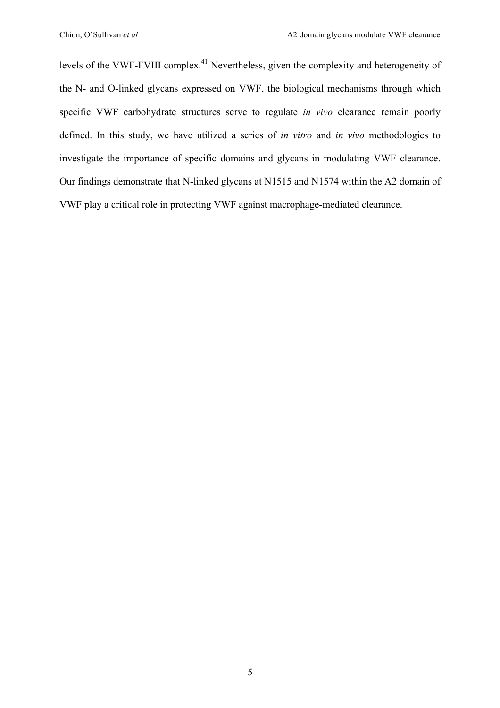levels of the VWF-FVIII complex.<sup>41</sup> Nevertheless, given the complexity and heterogeneity of the N- and O-linked glycans expressed on VWF, the biological mechanisms through which specific VWF carbohydrate structures serve to regulate *in vivo* clearance remain poorly defined. In this study, we have utilized a series of *in vitro* and *in vivo* methodologies to investigate the importance of specific domains and glycans in modulating VWF clearance. Our findings demonstrate that N-linked glycans at N1515 and N1574 within the A2 domain of VWF play a critical role in protecting VWF against macrophage-mediated clearance.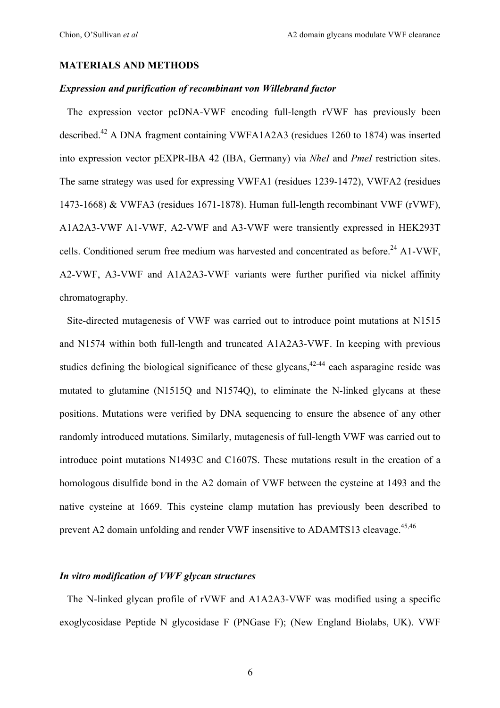### **MATERIALS AND METHODS**

#### *Expression and purification of recombinant von Willebrand factor*

 The expression vector pcDNA-VWF encoding full-length rVWF has previously been described.<sup>42</sup> A DNA fragment containing VWFA1A2A3 (residues 1260 to 1874) was inserted into expression vector pEXPR-IBA 42 (IBA, Germany) via *NheI* and *PmeI* restriction sites. The same strategy was used for expressing VWFA1 (residues 1239-1472), VWFA2 (residues 1473-1668) & VWFA3 (residues 1671-1878). Human full-length recombinant VWF (rVWF), A1A2A3-VWF A1-VWF, A2-VWF and A3-VWF were transiently expressed in HEK293T cells. Conditioned serum free medium was harvested and concentrated as before.<sup>24</sup> A1-VWF, A2-VWF, A3-VWF and A1A2A3-VWF variants were further purified via nickel affinity chromatography.

 Site-directed mutagenesis of VWF was carried out to introduce point mutations at N1515 and N1574 within both full-length and truncated A1A2A3-VWF. In keeping with previous studies defining the biological significance of these glycans,<sup>42-44</sup> each asparagine reside was mutated to glutamine (N1515Q and N1574Q), to eliminate the N-linked glycans at these positions. Mutations were verified by DNA sequencing to ensure the absence of any other randomly introduced mutations. Similarly, mutagenesis of full-length VWF was carried out to introduce point mutations N1493C and C1607S. These mutations result in the creation of a homologous disulfide bond in the A2 domain of VWF between the cysteine at 1493 and the native cysteine at 1669. This cysteine clamp mutation has previously been described to prevent A2 domain unfolding and render VWF insensitive to ADAMTS13 cleavage.<sup>45,46</sup>

### *In vitro modification of VWF glycan structures*

 The N-linked glycan profile of rVWF and A1A2A3-VWF was modified using a specific exoglycosidase Peptide N glycosidase F (PNGase F); (New England Biolabs, UK). VWF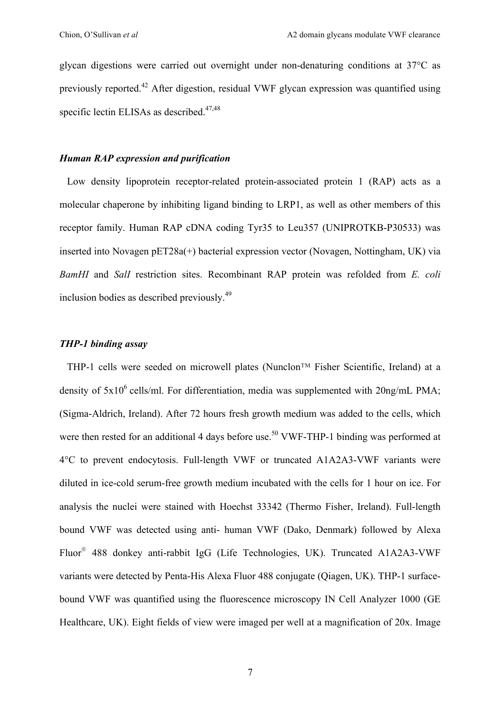glycan digestions were carried out overnight under non-denaturing conditions at 37°C as previously reported.<sup>42</sup> After digestion, residual VWF glycan expression was quantified using specific lectin ELISAs as described.<sup>47,48</sup>

### *Human RAP expression and purification*

 Low density lipoprotein receptor-related protein-associated protein 1 (RAP) acts as a molecular chaperone by inhibiting ligand binding to LRP1, as well as other members of this receptor family. Human RAP cDNA coding Tyr35 to Leu357 (UNIPROTKB-P30533) was inserted into Novagen pET28a(+) bacterial expression vector (Novagen, Nottingham, UK) via *BamHI* and *SalI* restriction sites. Recombinant RAP protein was refolded from *E. coli* inclusion bodies as described previously.<sup>49</sup>

#### *THP-1 binding assay*

 THP-1 cells were seeded on microwell plates (Nunclon™ Fisher Scientific, Ireland) at a density of  $5x10^6$  cells/ml. For differentiation, media was supplemented with  $20ng/mL$  PMA; (Sigma-Aldrich, Ireland). After 72 hours fresh growth medium was added to the cells, which were then rested for an additional 4 days before use.<sup>50</sup> VWF-THP-1 binding was performed at 4°C to prevent endocytosis. Full-length VWF or truncated A1A2A3-VWF variants were diluted in ice-cold serum-free growth medium incubated with the cells for 1 hour on ice. For analysis the nuclei were stained with Hoechst 33342 (Thermo Fisher, Ireland). Full-length bound VWF was detected using anti- human VWF (Dako, Denmark) followed by Alexa Fluor® 488 donkey anti-rabbit IgG (Life Technologies, UK). Truncated A1A2A3-VWF variants were detected by Penta-His Alexa Fluor 488 conjugate (Qiagen, UK). THP-1 surfacebound VWF was quantified using the fluorescence microscopy IN Cell Analyzer 1000 (GE Healthcare, UK). Eight fields of view were imaged per well at a magnification of 20x. Image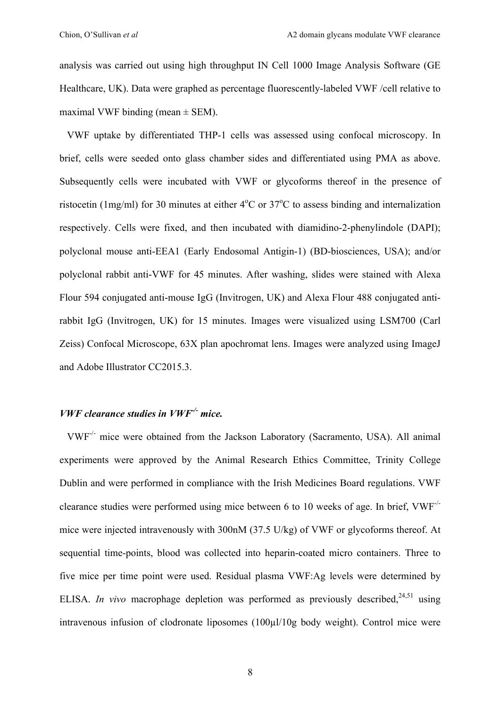analysis was carried out using high throughput IN Cell 1000 Image Analysis Software (GE Healthcare, UK). Data were graphed as percentage fluorescently-labeled VWF /cell relative to maximal VWF binding (mean  $\pm$  SEM).

 VWF uptake by differentiated THP-1 cells was assessed using confocal microscopy. In brief, cells were seeded onto glass chamber sides and differentiated using PMA as above. Subsequently cells were incubated with VWF or glycoforms thereof in the presence of ristocetin (1mg/ml) for 30 minutes at either  $4^{\circ}$ C or  $37^{\circ}$ C to assess binding and internalization respectively. Cells were fixed, and then incubated with diamidino-2-phenylindole (DAPI); polyclonal mouse anti-EEA1 (Early Endosomal Antigin-1) (BD-biosciences, USA); and/or polyclonal rabbit anti-VWF for 45 minutes. After washing, slides were stained with Alexa Flour 594 conjugated anti-mouse IgG (Invitrogen, UK) and Alexa Flour 488 conjugated antirabbit IgG (Invitrogen, UK) for 15 minutes. Images were visualized using LSM700 (Carl Zeiss) Confocal Microscope, 63X plan apochromat lens. Images were analyzed using ImageJ and Adobe Illustrator CC2015.3.

### *VWF clearance studies in VWF-/- mice.*

 VWF-/- mice were obtained from the Jackson Laboratory (Sacramento, USA). All animal experiments were approved by the Animal Research Ethics Committee, Trinity College Dublin and were performed in compliance with the Irish Medicines Board regulations. VWF clearance studies were performed using mice between 6 to 10 weeks of age. In brief, VWF-/ mice were injected intravenously with 300nM (37.5 U/kg) of VWF or glycoforms thereof. At sequential time-points, blood was collected into heparin-coated micro containers. Three to five mice per time point were used. Residual plasma VWF:Ag levels were determined by ELISA. *In vivo* macrophage depletion was performed as previously described,  $24,51$  using intravenous infusion of clodronate liposomes (100µl/10g body weight). Control mice were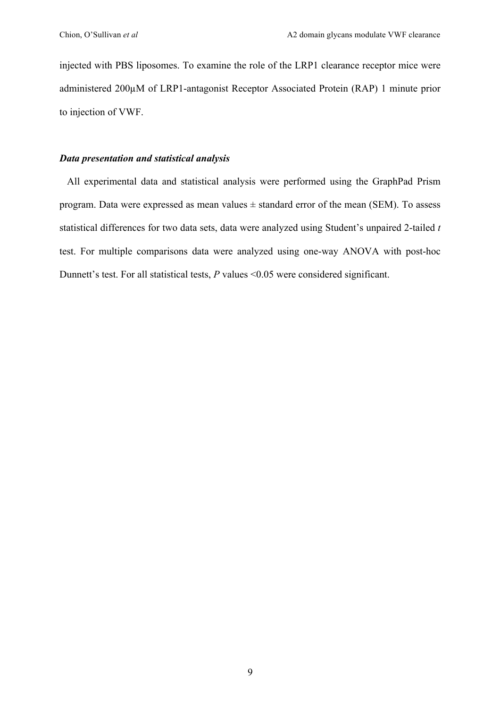injected with PBS liposomes. To examine the role of the LRP1 clearance receptor mice were administered 200µM of LRP1-antagonist Receptor Associated Protein (RAP) 1 minute prior to injection of VWF.

### *Data presentation and statistical analysis*

 All experimental data and statistical analysis were performed using the GraphPad Prism program. Data were expressed as mean values  $\pm$  standard error of the mean (SEM). To assess statistical differences for two data sets, data were analyzed using Student's unpaired 2-tailed *t* test. For multiple comparisons data were analyzed using one-way ANOVA with post-hoc Dunnett's test. For all statistical tests, *P* values <0.05 were considered significant.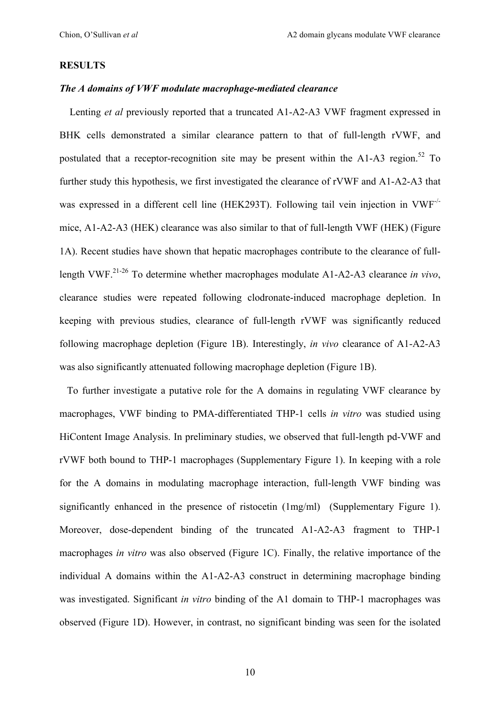### **RESULTS**

#### *The A domains of VWF modulate macrophage-mediated clearance*

 Lenting *et al* previously reported that a truncated A1-A2-A3 VWF fragment expressed in BHK cells demonstrated a similar clearance pattern to that of full-length rVWF, and postulated that a receptor-recognition site may be present within the A1-A3 region.<sup>52</sup> To further study this hypothesis, we first investigated the clearance of rVWF and A1-A2-A3 that was expressed in a different cell line (HEK293T). Following tail vein injection in VWF<sup>-/-</sup> mice, A1-A2-A3 (HEK) clearance was also similar to that of full-length VWF (HEK) (Figure 1A). Recent studies have shown that hepatic macrophages contribute to the clearance of fulllength VWF. 21-26 To determine whether macrophages modulate A1-A2-A3 clearance *in vivo*, clearance studies were repeated following clodronate-induced macrophage depletion. In keeping with previous studies, clearance of full-length rVWF was significantly reduced following macrophage depletion (Figure 1B). Interestingly, *in vivo* clearance of A1-A2-A3 was also significantly attenuated following macrophage depletion (Figure 1B).

 To further investigate a putative role for the A domains in regulating VWF clearance by macrophages, VWF binding to PMA-differentiated THP-1 cells *in vitro* was studied using HiContent Image Analysis. In preliminary studies, we observed that full-length pd-VWF and rVWF both bound to THP-1 macrophages (Supplementary Figure 1). In keeping with a role for the A domains in modulating macrophage interaction, full-length VWF binding was significantly enhanced in the presence of ristocetin (1mg/ml) (Supplementary Figure 1). Moreover, dose-dependent binding of the truncated A1-A2-A3 fragment to THP-1 macrophages *in vitro* was also observed (Figure 1C). Finally, the relative importance of the individual A domains within the A1-A2-A3 construct in determining macrophage binding was investigated. Significant *in vitro* binding of the A1 domain to THP-1 macrophages was observed (Figure 1D). However, in contrast, no significant binding was seen for the isolated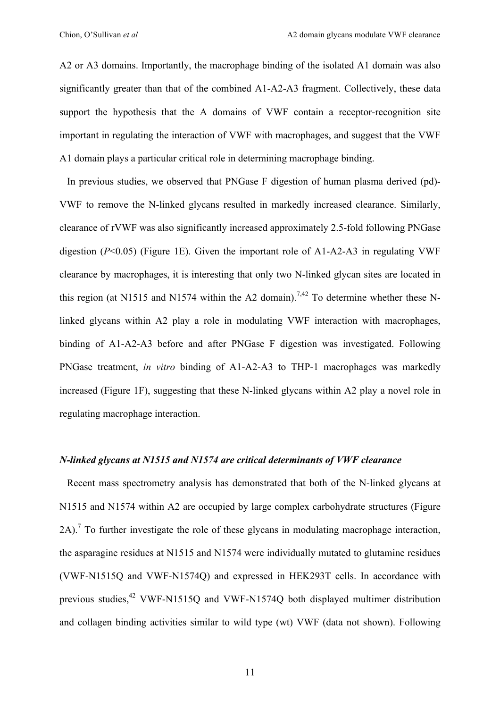A2 or A3 domains. Importantly, the macrophage binding of the isolated A1 domain was also significantly greater than that of the combined A1-A2-A3 fragment. Collectively, these data support the hypothesis that the A domains of VWF contain a receptor-recognition site important in regulating the interaction of VWF with macrophages, and suggest that the VWF A1 domain plays a particular critical role in determining macrophage binding.

 In previous studies, we observed that PNGase F digestion of human plasma derived (pd)- VWF to remove the N-linked glycans resulted in markedly increased clearance. Similarly, clearance of rVWF was also significantly increased approximately 2.5-fold following PNGase digestion (*P*<0.05) (Figure 1E). Given the important role of A1-A2-A3 in regulating VWF clearance by macrophages, it is interesting that only two N-linked glycan sites are located in this region (at N1515 and N1574 within the A2 domain).<sup>7,42</sup> To determine whether these Nlinked glycans within A2 play a role in modulating VWF interaction with macrophages, binding of A1-A2-A3 before and after PNGase F digestion was investigated. Following PNGase treatment, *in vitro* binding of A1-A2-A3 to THP-1 macrophages was markedly increased (Figure 1F), suggesting that these N-linked glycans within A2 play a novel role in regulating macrophage interaction.

### *N-linked glycans at N1515 and N1574 are critical determinants of VWF clearance*

 Recent mass spectrometry analysis has demonstrated that both of the N-linked glycans at N1515 and N1574 within A2 are occupied by large complex carbohydrate structures (Figure 2A).<sup>7</sup> To further investigate the role of these glycans in modulating macrophage interaction, the asparagine residues at N1515 and N1574 were individually mutated to glutamine residues (VWF-N1515Q and VWF-N1574Q) and expressed in HEK293T cells. In accordance with previous studies,<sup>42</sup> VWF-N1515Q and VWF-N1574Q both displayed multimer distribution and collagen binding activities similar to wild type (wt) VWF (data not shown). Following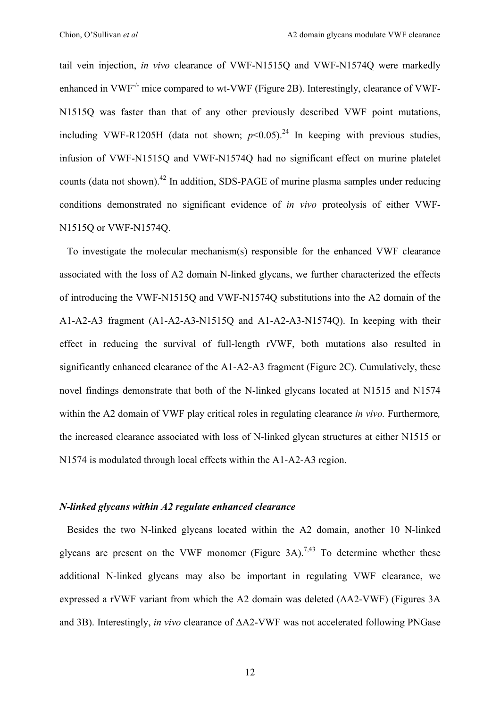tail vein injection, *in vivo* clearance of VWF-N1515Q and VWF-N1574Q were markedly enhanced in VWF<sup>-/-</sup> mice compared to wt-VWF (Figure 2B). Interestingly, clearance of VWF-N1515Q was faster than that of any other previously described VWF point mutations, including VWF-R1205H (data not shown;  $p<0.05$ ).<sup>24</sup> In keeping with previous studies, infusion of VWF-N1515Q and VWF-N1574Q had no significant effect on murine platelet counts (data not shown).<sup>42</sup> In addition, SDS-PAGE of murine plasma samples under reducing conditions demonstrated no significant evidence of *in vivo* proteolysis of either VWF-N1515Q or VWF-N1574Q.

 To investigate the molecular mechanism(s) responsible for the enhanced VWF clearance associated with the loss of A2 domain N-linked glycans, we further characterized the effects of introducing the VWF-N1515Q and VWF-N1574Q substitutions into the A2 domain of the A1-A2-A3 fragment (A1-A2-A3-N1515Q and A1-A2-A3-N1574Q). In keeping with their effect in reducing the survival of full-length rVWF, both mutations also resulted in significantly enhanced clearance of the A1-A2-A3 fragment (Figure 2C). Cumulatively, these novel findings demonstrate that both of the N-linked glycans located at N1515 and N1574 within the A2 domain of VWF play critical roles in regulating clearance *in vivo.* Furthermore*,*  the increased clearance associated with loss of N-linked glycan structures at either N1515 or N1574 is modulated through local effects within the A1-A2-A3 region.

### *N-linked glycans within A2 regulate enhanced clearance*

 Besides the two N-linked glycans located within the A2 domain, another 10 N-linked glycans are present on the VWF monomer (Figure 3A).<sup>7,43</sup> To determine whether these additional N-linked glycans may also be important in regulating VWF clearance, we expressed a rVWF variant from which the A2 domain was deleted (ΔA2-VWF) (Figures 3A and 3B). Interestingly, *in vivo* clearance of ΔA2-VWF was not accelerated following PNGase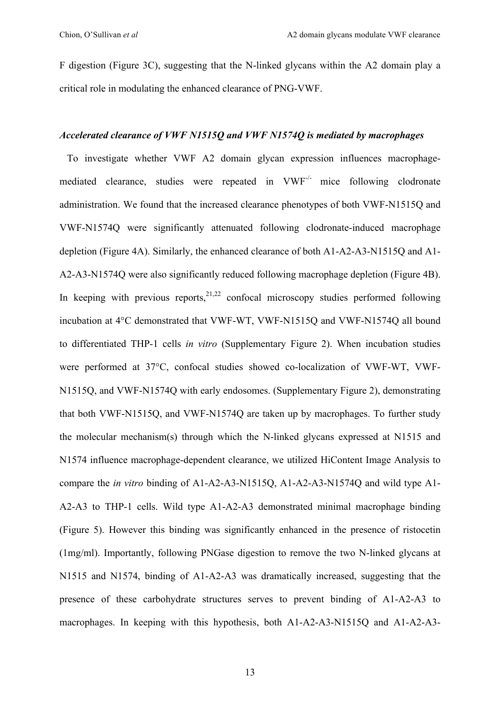F digestion (Figure 3C), suggesting that the N-linked glycans within the A2 domain play a critical role in modulating the enhanced clearance of PNG-VWF.

### *Accelerated clearance of VWF N1515Q and VWF N1574Q is mediated by macrophages*

 To investigate whether VWF A2 domain glycan expression influences macrophagemediated clearance, studies were repeated in VWF<sup>-/-</sup> mice following clodronate administration. We found that the increased clearance phenotypes of both VWF-N1515Q and VWF-N1574Q were significantly attenuated following clodronate-induced macrophage depletion (Figure 4A). Similarly, the enhanced clearance of both A1-A2-A3-N1515Q and A1- A2-A3-N1574Q were also significantly reduced following macrophage depletion (Figure 4B). In keeping with previous reports,  $2^{1,22}$  confocal microscopy studies performed following incubation at 4°C demonstrated that VWF-WT, VWF-N1515Q and VWF-N1574Q all bound to differentiated THP-1 cells *in vitro* (Supplementary Figure 2). When incubation studies were performed at 37°C, confocal studies showed co-localization of VWF-WT, VWF-N1515Q, and VWF-N1574Q with early endosomes. (Supplementary Figure 2), demonstrating that both VWF-N1515Q, and VWF-N1574Q are taken up by macrophages. To further study the molecular mechanism(s) through which the N-linked glycans expressed at N1515 and N1574 influence macrophage-dependent clearance, we utilized HiContent Image Analysis to compare the *in vitro* binding of A1-A2-A3-N1515Q, A1-A2-A3-N1574Q and wild type A1- A2-A3 to THP-1 cells. Wild type A1-A2-A3 demonstrated minimal macrophage binding (Figure 5). However this binding was significantly enhanced in the presence of ristocetin (1mg/ml). Importantly, following PNGase digestion to remove the two N-linked glycans at N1515 and N1574, binding of A1-A2-A3 was dramatically increased, suggesting that the presence of these carbohydrate structures serves to prevent binding of A1-A2-A3 to macrophages. In keeping with this hypothesis, both A1-A2-A3-N1515Q and A1-A2-A3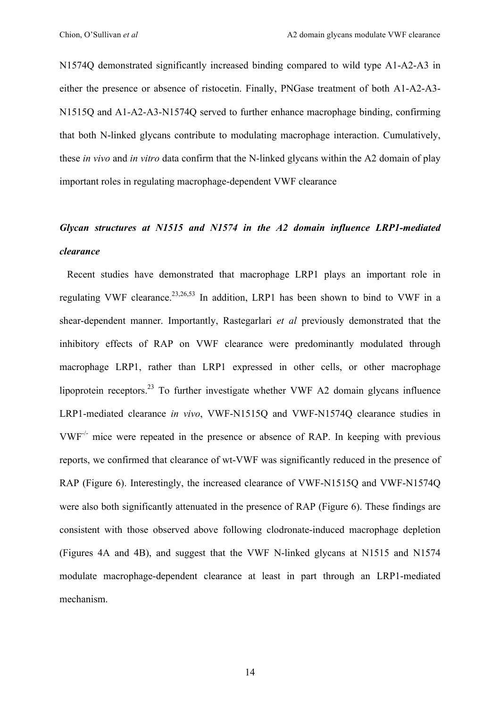N1574Q demonstrated significantly increased binding compared to wild type A1-A2-A3 in either the presence or absence of ristocetin. Finally, PNGase treatment of both A1-A2-A3- N1515Q and A1-A2-A3-N1574Q served to further enhance macrophage binding, confirming that both N-linked glycans contribute to modulating macrophage interaction. Cumulatively, these *in vivo* and *in vitro* data confirm that the N-linked glycans within the A2 domain of play important roles in regulating macrophage-dependent VWF clearance

# *Glycan structures at N1515 and N1574 in the A2 domain influence LRP1-mediated clearance*

Recent studies have demonstrated that macrophage LRP1 plays an important role in regulating VWF clearance.<sup>23,26,53</sup> In addition, LRP1 has been shown to bind to VWF in a shear-dependent manner. Importantly, Rastegarlari *et al* previously demonstrated that the inhibitory effects of RAP on VWF clearance were predominantly modulated through macrophage LRP1, rather than LRP1 expressed in other cells, or other macrophage lipoprotein receptors.<sup>23</sup> To further investigate whether VWF A2 domain glycans influence LRP1-mediated clearance *in vivo*, VWF-N1515Q and VWF-N1574Q clearance studies in VWF-/- mice were repeated in the presence or absence of RAP. In keeping with previous reports, we confirmed that clearance of wt-VWF was significantly reduced in the presence of RAP (Figure 6). Interestingly, the increased clearance of VWF-N1515Q and VWF-N1574Q were also both significantly attenuated in the presence of RAP (Figure 6). These findings are consistent with those observed above following clodronate-induced macrophage depletion (Figures 4A and 4B), and suggest that the VWF N-linked glycans at N1515 and N1574 modulate macrophage-dependent clearance at least in part through an LRP1-mediated mechanism.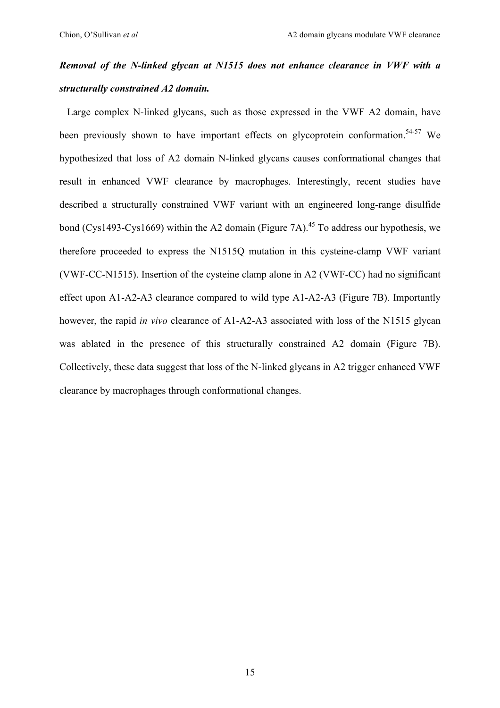# *Removal of the N-linked glycan at N1515 does not enhance clearance in VWF with a structurally constrained A2 domain.*

 Large complex N-linked glycans, such as those expressed in the VWF A2 domain, have been previously shown to have important effects on glycoprotein conformation.<sup>54-57</sup> We hypothesized that loss of A2 domain N-linked glycans causes conformational changes that result in enhanced VWF clearance by macrophages. Interestingly, recent studies have described a structurally constrained VWF variant with an engineered long-range disulfide bond (Cys1493-Cys1669) within the A2 domain (Figure 7A).<sup>45</sup> To address our hypothesis, we therefore proceeded to express the N1515Q mutation in this cysteine-clamp VWF variant (VWF-CC-N1515). Insertion of the cysteine clamp alone in A2 (VWF-CC) had no significant effect upon A1-A2-A3 clearance compared to wild type A1-A2-A3 (Figure 7B). Importantly however, the rapid *in vivo* clearance of A1-A2-A3 associated with loss of the N1515 glycan was ablated in the presence of this structurally constrained A2 domain (Figure 7B). Collectively, these data suggest that loss of the N-linked glycans in A2 trigger enhanced VWF clearance by macrophages through conformational changes.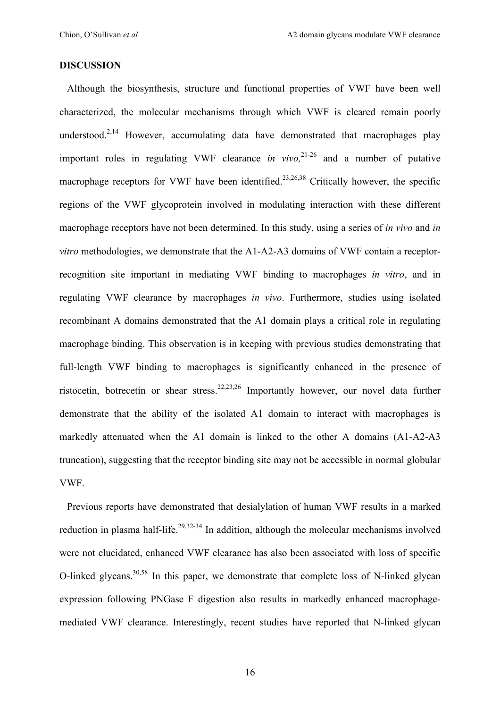### **DISCUSSION**

 Although the biosynthesis, structure and functional properties of VWF have been well characterized, the molecular mechanisms through which VWF is cleared remain poorly understood. $2,14$  However, accumulating data have demonstrated that macrophages play important roles in regulating VWF clearance *in vivo,* 21-26 and a number of putative macrophage receptors for VWF have been identified.<sup>23,26,38</sup> Critically however, the specific regions of the VWF glycoprotein involved in modulating interaction with these different macrophage receptors have not been determined. In this study, using a series of *in vivo* and *in vitro* methodologies, we demonstrate that the A1-A2-A3 domains of VWF contain a receptorrecognition site important in mediating VWF binding to macrophages *in vitro*, and in regulating VWF clearance by macrophages *in vivo*. Furthermore, studies using isolated recombinant A domains demonstrated that the A1 domain plays a critical role in regulating macrophage binding. This observation is in keeping with previous studies demonstrating that full-length VWF binding to macrophages is significantly enhanced in the presence of ristocetin, botrecetin or shear stress.<sup>22,23,26</sup> Importantly however, our novel data further demonstrate that the ability of the isolated A1 domain to interact with macrophages is markedly attenuated when the A1 domain is linked to the other A domains (A1-A2-A3 truncation), suggesting that the receptor binding site may not be accessible in normal globular VWF.

 Previous reports have demonstrated that desialylation of human VWF results in a marked reduction in plasma half-life.<sup>29,32-34</sup> In addition, although the molecular mechanisms involved were not elucidated, enhanced VWF clearance has also been associated with loss of specific O-linked glycans.30,58 In this paper, we demonstrate that complete loss of N-linked glycan expression following PNGase F digestion also results in markedly enhanced macrophagemediated VWF clearance. Interestingly, recent studies have reported that N-linked glycan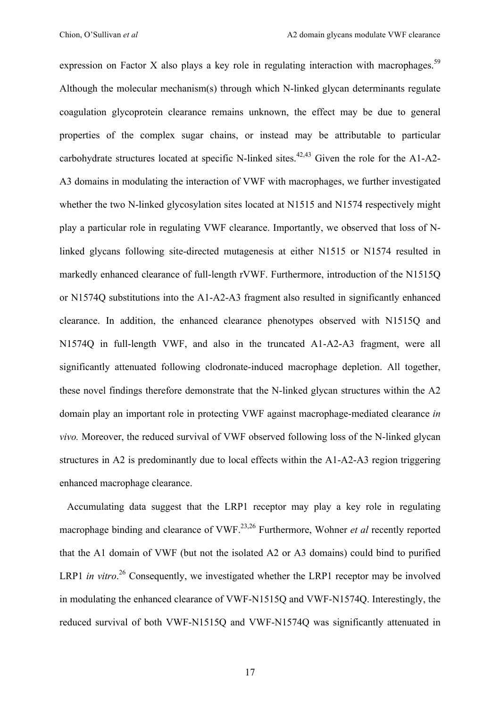expression on Factor X also plays a key role in regulating interaction with macrophages.<sup>59</sup> Although the molecular mechanism(s) through which N-linked glycan determinants regulate coagulation glycoprotein clearance remains unknown, the effect may be due to general properties of the complex sugar chains, or instead may be attributable to particular carbohydrate structures located at specific N-linked sites.<sup>42,43</sup> Given the role for the A1-A2-A3 domains in modulating the interaction of VWF with macrophages, we further investigated whether the two N-linked glycosylation sites located at N1515 and N1574 respectively might play a particular role in regulating VWF clearance. Importantly, we observed that loss of Nlinked glycans following site-directed mutagenesis at either N1515 or N1574 resulted in markedly enhanced clearance of full-length rVWF. Furthermore, introduction of the N1515Q or N1574Q substitutions into the A1-A2-A3 fragment also resulted in significantly enhanced clearance. In addition, the enhanced clearance phenotypes observed with N1515Q and N1574Q in full-length VWF, and also in the truncated A1-A2-A3 fragment, were all significantly attenuated following clodronate-induced macrophage depletion. All together, these novel findings therefore demonstrate that the N-linked glycan structures within the A2 domain play an important role in protecting VWF against macrophage-mediated clearance *in vivo.* Moreover, the reduced survival of VWF observed following loss of the N-linked glycan structures in A2 is predominantly due to local effects within the A1-A2-A3 region triggering enhanced macrophage clearance.

 Accumulating data suggest that the LRP1 receptor may play a key role in regulating macrophage binding and clearance of VWF.<sup>23,26</sup> Furthermore, Wohner *et al* recently reported that the A1 domain of VWF (but not the isolated A2 or A3 domains) could bind to purified LRP1 *in vitro*.<sup>26</sup> Consequently, we investigated whether the LRP1 receptor may be involved in modulating the enhanced clearance of VWF-N1515Q and VWF-N1574Q. Interestingly, the reduced survival of both VWF-N1515Q and VWF-N1574Q was significantly attenuated in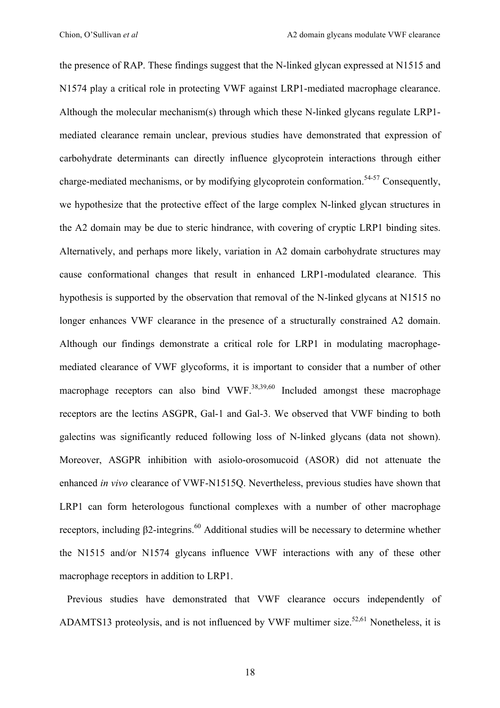the presence of RAP. These findings suggest that the N-linked glycan expressed at N1515 and N1574 play a critical role in protecting VWF against LRP1-mediated macrophage clearance. Although the molecular mechanism(s) through which these N-linked glycans regulate LRP1 mediated clearance remain unclear, previous studies have demonstrated that expression of carbohydrate determinants can directly influence glycoprotein interactions through either charge-mediated mechanisms, or by modifying glycoprotein conformation.<sup>54-57</sup> Consequently, we hypothesize that the protective effect of the large complex N-linked glycan structures in the A2 domain may be due to steric hindrance, with covering of cryptic LRP1 binding sites. Alternatively, and perhaps more likely, variation in A2 domain carbohydrate structures may cause conformational changes that result in enhanced LRP1-modulated clearance. This hypothesis is supported by the observation that removal of the N-linked glycans at N1515 no longer enhances VWF clearance in the presence of a structurally constrained A2 domain. Although our findings demonstrate a critical role for LRP1 in modulating macrophagemediated clearance of VWF glycoforms, it is important to consider that a number of other macrophage receptors can also bind VWF. $^{38,39,60}$  Included amongst these macrophage receptors are the lectins ASGPR, Gal-1 and Gal-3. We observed that VWF binding to both galectins was significantly reduced following loss of N-linked glycans (data not shown). Moreover, ASGPR inhibition with asiolo-orosomucoid (ASOR) did not attenuate the enhanced *in vivo* clearance of VWF-N1515Q. Nevertheless, previous studies have shown that LRP1 can form heterologous functional complexes with a number of other macrophage receptors, including β2-integrins.<sup>60</sup> Additional studies will be necessary to determine whether the N1515 and/or N1574 glycans influence VWF interactions with any of these other macrophage receptors in addition to LRP1.

 Previous studies have demonstrated that VWF clearance occurs independently of ADAMTS13 proteolysis, and is not influenced by VWF multimer size.<sup>52,61</sup> Nonetheless, it is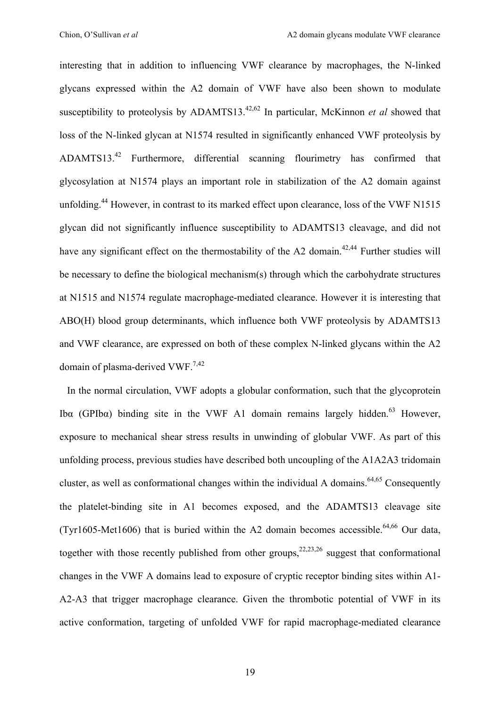interesting that in addition to influencing VWF clearance by macrophages, the N-linked glycans expressed within the A2 domain of VWF have also been shown to modulate susceptibility to proteolysis by ADAMTS13.42,62 In particular, McKinnon *et al* showed that loss of the N-linked glycan at N1574 resulted in significantly enhanced VWF proteolysis by ADAMTS13.42 Furthermore, differential scanning flourimetry has confirmed that glycosylation at N1574 plays an important role in stabilization of the A2 domain against unfolding.<sup>44</sup> However, in contrast to its marked effect upon clearance, loss of the VWF N1515 glycan did not significantly influence susceptibility to ADAMTS13 cleavage, and did not have any significant effect on the thermostability of the A2 domain.<sup>42,44</sup> Further studies will be necessary to define the biological mechanism(s) through which the carbohydrate structures at N1515 and N1574 regulate macrophage-mediated clearance. However it is interesting that ABO(H) blood group determinants, which influence both VWF proteolysis by ADAMTS13 and VWF clearance, are expressed on both of these complex N-linked glycans within the A2 domain of plasma-derived VWF.<sup>7,42</sup>

 In the normal circulation, VWF adopts a globular conformation, such that the glycoprotein Ibα (GPIbα) binding site in the VWF A1 domain remains largely hidden.<sup>63</sup> However, exposure to mechanical shear stress results in unwinding of globular VWF. As part of this unfolding process, previous studies have described both uncoupling of the A1A2A3 tridomain cluster, as well as conformational changes within the individual A domains.<sup>64,65</sup> Consequently the platelet-binding site in A1 becomes exposed, and the ADAMTS13 cleavage site (Tyr1605-Met1606) that is buried within the A2 domain becomes accessible.<sup>64,66</sup> Our data, together with those recently published from other groups,  $22,23,26$  suggest that conformational changes in the VWF A domains lead to exposure of cryptic receptor binding sites within A1- A2-A3 that trigger macrophage clearance. Given the thrombotic potential of VWF in its active conformation, targeting of unfolded VWF for rapid macrophage-mediated clearance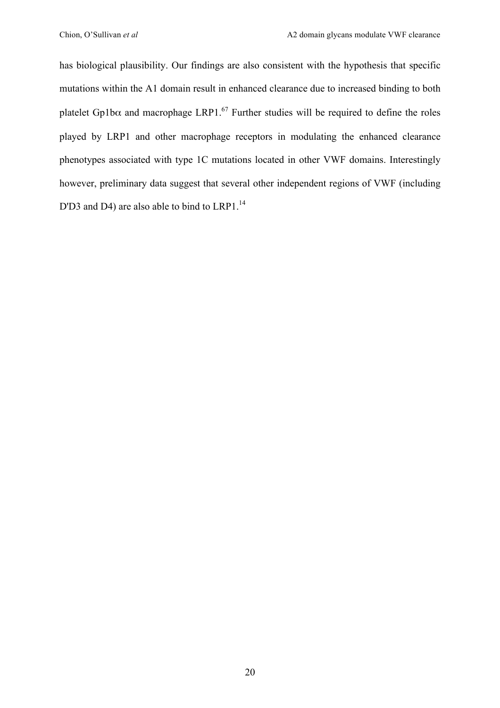has biological plausibility. Our findings are also consistent with the hypothesis that specific mutations within the A1 domain result in enhanced clearance due to increased binding to both platelet Gp1b $\alpha$  and macrophage LRP1.<sup>67</sup> Further studies will be required to define the roles played by LRP1 and other macrophage receptors in modulating the enhanced clearance phenotypes associated with type 1C mutations located in other VWF domains. Interestingly however, preliminary data suggest that several other independent regions of VWF (including D'D3 and D4) are also able to bind to LRP1.<sup>14</sup>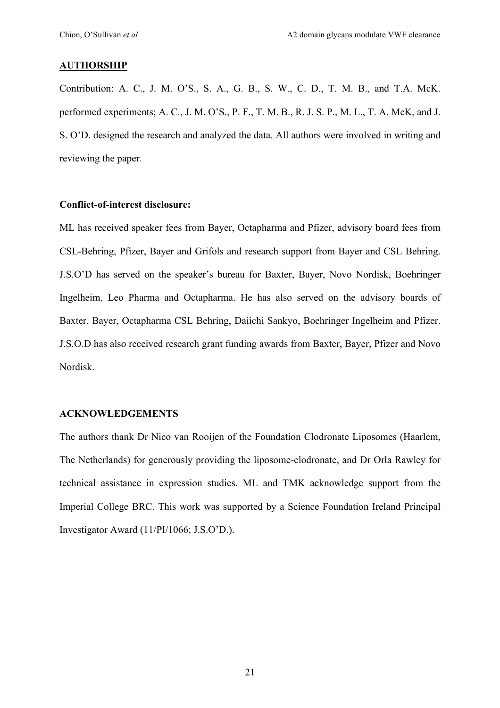### **AUTHORSHIP**

Contribution: A. C., J. M. O'S., S. A., G. B., S. W., C. D., T. M. B., and T.A. McK. performed experiments; A. C., J. M. O'S., P. F., T. M. B., R. J. S. P., M. L., T. A. McK, and J. S. O'D. designed the research and analyzed the data. All authors were involved in writing and reviewing the paper.

#### **Conflict-of-interest disclosure:**

ML has received speaker fees from Bayer, Octapharma and Pfizer, advisory board fees from CSL-Behring, Pfizer, Bayer and Grifols and research support from Bayer and CSL Behring. J.S.O'D has served on the speaker's bureau for Baxter, Bayer, Novo Nordisk, Boehringer Ingelheim, Leo Pharma and Octapharma. He has also served on the advisory boards of Baxter, Bayer, Octapharma CSL Behring, Daiichi Sankyo, Boehringer Ingelheim and Pfizer. J.S.O.D has also received research grant funding awards from Baxter, Bayer, Pfizer and Novo Nordisk.

#### **ACKNOWLEDGEMENTS**

The authors thank Dr Nico van Rooijen of the Foundation Clodronate Liposomes (Haarlem, The Netherlands) for generously providing the liposome-clodronate, and Dr Orla Rawley for technical assistance in expression studies. ML and TMK acknowledge support from the Imperial College BRC. This work was supported by a Science Foundation Ireland Principal Investigator Award (11/PI/1066; J.S.O'D.).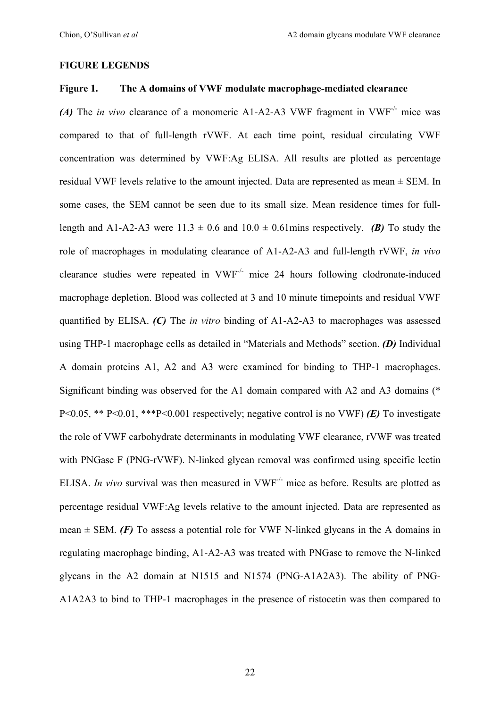### **FIGURE LEGENDS**

### **Figure 1. The A domains of VWF modulate macrophage-mediated clearance**

*(A)* The *in vivo* clearance of a monomeric A1-A2-A3 VWF fragment in VWF<sup>-/-</sup> mice was compared to that of full-length rVWF. At each time point, residual circulating VWF concentration was determined by VWF:Ag ELISA. All results are plotted as percentage residual VWF levels relative to the amount injected. Data are represented as mean ± SEM. In some cases, the SEM cannot be seen due to its small size. Mean residence times for fulllength and A1-A2-A3 were  $11.3 \pm 0.6$  and  $10.0 \pm 0.61$  mins respectively. *(B)* To study the role of macrophages in modulating clearance of A1-A2-A3 and full-length rVWF, *in vivo* clearance studies were repeated in VWF-/- mice 24 hours following clodronate-induced macrophage depletion. Blood was collected at 3 and 10 minute timepoints and residual VWF quantified by ELISA. *(C)* The *in vitro* binding of A1-A2-A3 to macrophages was assessed using THP-1 macrophage cells as detailed in "Materials and Methods" section. *(D)* Individual A domain proteins A1, A2 and A3 were examined for binding to THP-1 macrophages. Significant binding was observed for the A1 domain compared with A2 and A3 domains (\* P<0.05, \*\* P<0.01, \*\*\*P<0.001 respectively; negative control is no VWF) *(E)* To investigate the role of VWF carbohydrate determinants in modulating VWF clearance, rVWF was treated with PNGase F (PNG-rVWF). N-linked glycan removal was confirmed using specific lectin ELISA. *In vivo* survival was then measured in VWF-/- mice as before. Results are plotted as percentage residual VWF:Ag levels relative to the amount injected. Data are represented as mean  $\pm$  SEM. *(F)* To assess a potential role for VWF N-linked glycans in the A domains in regulating macrophage binding, A1-A2-A3 was treated with PNGase to remove the N-linked glycans in the A2 domain at N1515 and N1574 (PNG-A1A2A3). The ability of PNG-A1A2A3 to bind to THP-1 macrophages in the presence of ristocetin was then compared to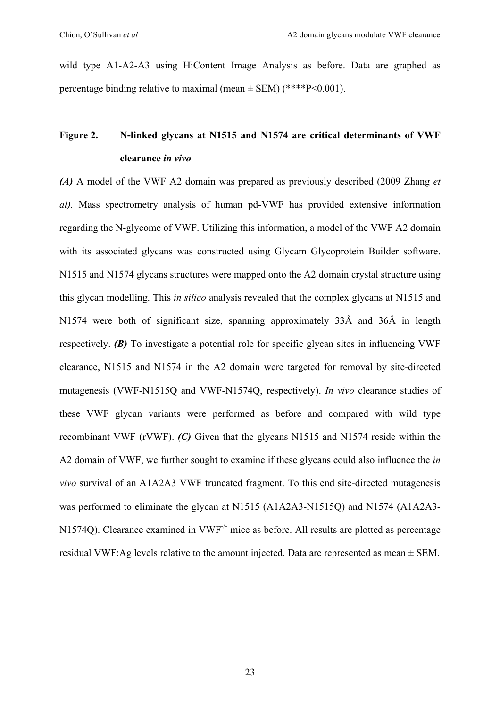wild type A1-A2-A3 using HiContent Image Analysis as before. Data are graphed as percentage binding relative to maximal (mean  $\pm$  SEM) (\*\*\*\*P<0.001).

## **Figure 2. N-linked glycans at N1515 and N1574 are critical determinants of VWF clearance** *in vivo*

*(A)* A model of the VWF A2 domain was prepared as previously described (2009 Zhang *et al).* Mass spectrometry analysis of human pd-VWF has provided extensive information regarding the N-glycome of VWF. Utilizing this information, a model of the VWF A2 domain with its associated glycans was constructed using Glycam Glycoprotein Builder software. N1515 and N1574 glycans structures were mapped onto the A2 domain crystal structure using this glycan modelling. This *in silico* analysis revealed that the complex glycans at N1515 and N1574 were both of significant size, spanning approximately 33Å and 36Å in length respectively. *(B)* To investigate a potential role for specific glycan sites in influencing VWF clearance, N1515 and N1574 in the A2 domain were targeted for removal by site-directed mutagenesis (VWF-N1515Q and VWF-N1574Q, respectively). *In vivo* clearance studies of these VWF glycan variants were performed as before and compared with wild type recombinant VWF (rVWF). *(C)* Given that the glycans N1515 and N1574 reside within the A2 domain of VWF, we further sought to examine if these glycans could also influence the *in vivo* survival of an A1A2A3 VWF truncated fragment. To this end site-directed mutagenesis was performed to eliminate the glycan at N1515 (A1A2A3-N1515Q) and N1574 (A1A2A3- N1574O). Clearance examined in VWF<sup>-/-</sup> mice as before. All results are plotted as percentage residual VWF:Ag levels relative to the amount injected. Data are represented as mean ± SEM.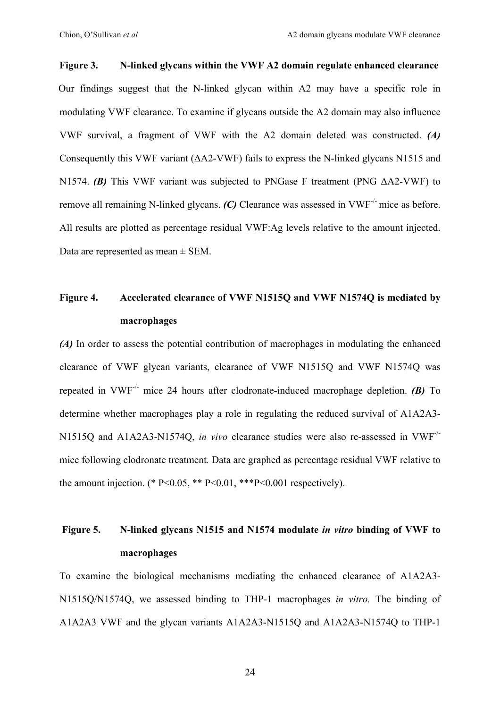# **Figure 3. N-linked glycans within the VWF A2 domain regulate enhanced clearance**  Our findings suggest that the N-linked glycan within A2 may have a specific role in modulating VWF clearance. To examine if glycans outside the A2 domain may also influence VWF survival, a fragment of VWF with the A2 domain deleted was constructed. *(A)* Consequently this VWF variant (ΔA2-VWF) fails to express the N-linked glycans N1515 and N1574. *(B)* This VWF variant was subjected to PNGase F treatment (PNG ΔA2-VWF) to remove all remaining N-linked glycans. (C) Clearance was assessed in VWF<sup>-/-</sup> mice as before. All results are plotted as percentage residual VWF:Ag levels relative to the amount injected. Data are represented as mean ± SEM.

# **Figure 4. Accelerated clearance of VWF N1515Q and VWF N1574Q is mediated by macrophages**

*(A)* In order to assess the potential contribution of macrophages in modulating the enhanced clearance of VWF glycan variants, clearance of VWF N1515Q and VWF N1574Q was repeated in VWF-/- mice 24 hours after clodronate-induced macrophage depletion. *(B)* To determine whether macrophages play a role in regulating the reduced survival of A1A2A3- N1515Q and A1A2A3-N1574Q, *in vivo* clearance studies were also re-assessed in VWF-/ mice following clodronate treatment*.* Data are graphed as percentage residual VWF relative to the amount injection. (\*  $P \le 0.05$ , \*\* $P \le 0.01$ , \*\*\* $P \le 0.001$  respectively).

# **Figure 5. N-linked glycans N1515 and N1574 modulate** *in vitro* **binding of VWF to macrophages**

To examine the biological mechanisms mediating the enhanced clearance of A1A2A3- N1515Q/N1574Q, we assessed binding to THP-1 macrophages *in vitro.* The binding of A1A2A3 VWF and the glycan variants A1A2A3-N1515Q and A1A2A3-N1574Q to THP-1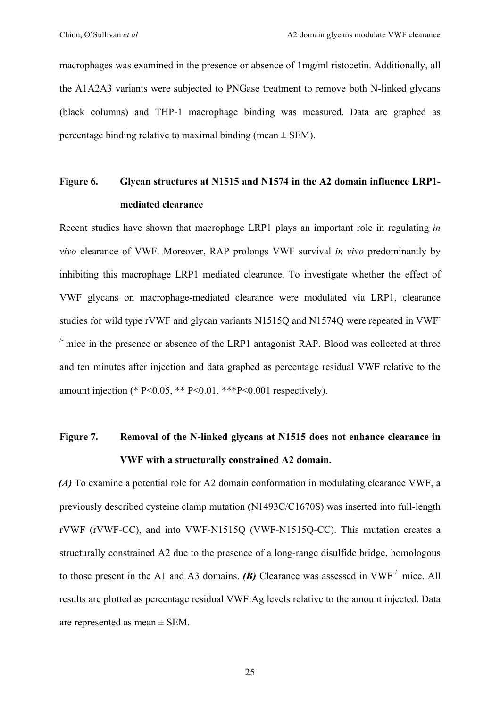macrophages was examined in the presence or absence of 1mg/ml ristocetin. Additionally, all the A1A2A3 variants were subjected to PNGase treatment to remove both N-linked glycans (black columns) and THP-1 macrophage binding was measured. Data are graphed as percentage binding relative to maximal binding (mean  $\pm$  SEM).

# **Figure 6. Glycan structures at N1515 and N1574 in the A2 domain influence LRP1 mediated clearance**

Recent studies have shown that macrophage LRP1 plays an important role in regulating *in vivo* clearance of VWF. Moreover, RAP prolongs VWF survival *in vivo* predominantly by inhibiting this macrophage LRP1 mediated clearance. To investigate whether the effect of VWF glycans on macrophage-mediated clearance were modulated via LRP1, clearance studies for wild type rVWF and glycan variants N1515Q and N1574Q were repeated in VWF-  $\sim$  mice in the presence or absence of the LRP1 antagonist RAP. Blood was collected at three and ten minutes after injection and data graphed as percentage residual VWF relative to the amount injection (\* P<0.05, \*\* P<0.01, \*\*\* P<0.001 respectively).

# **Figure 7. Removal of the N-linked glycans at N1515 does not enhance clearance in VWF with a structurally constrained A2 domain.**

*(A)* To examine a potential role for A2 domain conformation in modulating clearance VWF, a previously described cysteine clamp mutation (N1493C/C1670S) was inserted into full-length rVWF (rVWF-CC), and into VWF-N1515Q (VWF-N1515Q-CC). This mutation creates a structurally constrained A2 due to the presence of a long-range disulfide bridge, homologous to those present in the A1 and A3 domains. **(B)** Clearance was assessed in VWF<sup>-/-</sup> mice. All results are plotted as percentage residual VWF:Ag levels relative to the amount injected. Data are represented as mean  $\pm$  SEM.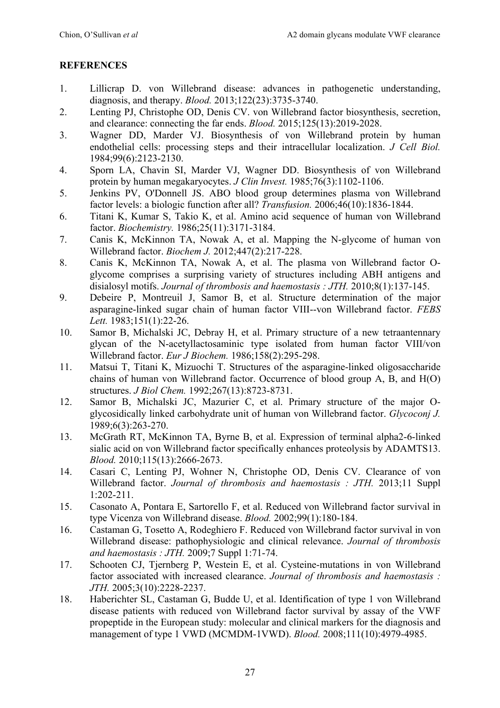### **REFERENCES**

- 1. Lillicrap D. von Willebrand disease: advances in pathogenetic understanding, diagnosis, and therapy. *Blood.* 2013;122(23):3735-3740.
- 2. Lenting PJ, Christophe OD, Denis CV. von Willebrand factor biosynthesis, secretion, and clearance: connecting the far ends. *Blood.* 2015;125(13):2019-2028.
- 3. Wagner DD, Marder VJ. Biosynthesis of von Willebrand protein by human endothelial cells: processing steps and their intracellular localization. *J Cell Biol.*  1984;99(6):2123-2130.
- 4. Sporn LA, Chavin SI, Marder VJ, Wagner DD. Biosynthesis of von Willebrand protein by human megakaryocytes. *J Clin Invest.* 1985;76(3):1102-1106.
- 5. Jenkins PV, O'Donnell JS. ABO blood group determines plasma von Willebrand factor levels: a biologic function after all? *Transfusion.* 2006;46(10):1836-1844.
- 6. Titani K, Kumar S, Takio K, et al. Amino acid sequence of human von Willebrand factor. *Biochemistry.* 1986;25(11):3171-3184.
- 7. Canis K, McKinnon TA, Nowak A, et al. Mapping the N-glycome of human von Willebrand factor. *Biochem J.* 2012;447(2):217-228.
- 8. Canis K, McKinnon TA, Nowak A, et al. The plasma von Willebrand factor Oglycome comprises a surprising variety of structures including ABH antigens and disialosyl motifs. *Journal of thrombosis and haemostasis : JTH.* 2010;8(1):137-145.
- 9. Debeire P, Montreuil J, Samor B, et al. Structure determination of the major asparagine-linked sugar chain of human factor VIII--von Willebrand factor. *FEBS Lett.* 1983;151(1):22-26.
- 10. Samor B, Michalski JC, Debray H, et al. Primary structure of a new tetraantennary glycan of the N-acetyllactosaminic type isolated from human factor VIII/von Willebrand factor. *Eur J Biochem.* 1986;158(2):295-298.
- 11. Matsui T, Titani K, Mizuochi T. Structures of the asparagine-linked oligosaccharide chains of human von Willebrand factor. Occurrence of blood group A, B, and H(O) structures. *J Biol Chem.* 1992;267(13):8723-8731.
- 12. Samor B, Michalski JC, Mazurier C, et al. Primary structure of the major Oglycosidically linked carbohydrate unit of human von Willebrand factor. *Glycoconj J.*  1989;6(3):263-270.
- 13. McGrath RT, McKinnon TA, Byrne B, et al. Expression of terminal alpha2-6-linked sialic acid on von Willebrand factor specifically enhances proteolysis by ADAMTS13. *Blood.* 2010;115(13):2666-2673.
- 14. Casari C, Lenting PJ, Wohner N, Christophe OD, Denis CV. Clearance of von Willebrand factor. *Journal of thrombosis and haemostasis : JTH.* 2013;11 Suppl 1:202-211.
- 15. Casonato A, Pontara E, Sartorello F, et al. Reduced von Willebrand factor survival in type Vicenza von Willebrand disease. *Blood.* 2002;99(1):180-184.
- 16. Castaman G, Tosetto A, Rodeghiero F. Reduced von Willebrand factor survival in von Willebrand disease: pathophysiologic and clinical relevance. *Journal of thrombosis and haemostasis : JTH.* 2009;7 Suppl 1:71-74.
- 17. Schooten CJ, Tjernberg P, Westein E, et al. Cysteine-mutations in von Willebrand factor associated with increased clearance. *Journal of thrombosis and haemostasis : JTH.* 2005;3(10):2228-2237.
- 18. Haberichter SL, Castaman G, Budde U, et al. Identification of type 1 von Willebrand disease patients with reduced von Willebrand factor survival by assay of the VWF propeptide in the European study: molecular and clinical markers for the diagnosis and management of type 1 VWD (MCMDM-1VWD). *Blood.* 2008;111(10):4979-4985.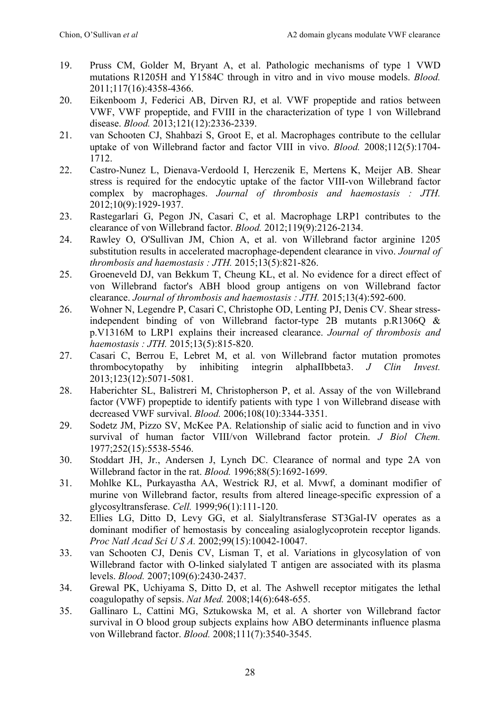- 19. Pruss CM, Golder M, Bryant A, et al. Pathologic mechanisms of type 1 VWD mutations R1205H and Y1584C through in vitro and in vivo mouse models. *Blood.*  2011;117(16):4358-4366.
- 20. Eikenboom J, Federici AB, Dirven RJ, et al. VWF propeptide and ratios between VWF, VWF propeptide, and FVIII in the characterization of type 1 von Willebrand disease. *Blood.* 2013;121(12):2336-2339.
- 21. van Schooten CJ, Shahbazi S, Groot E, et al. Macrophages contribute to the cellular uptake of von Willebrand factor and factor VIII in vivo. *Blood.* 2008;112(5):1704- 1712.
- 22. Castro-Nunez L, Dienava-Verdoold I, Herczenik E, Mertens K, Meijer AB. Shear stress is required for the endocytic uptake of the factor VIII-von Willebrand factor complex by macrophages. *Journal of thrombosis and haemostasis : JTH.*  2012;10(9):1929-1937.
- 23. Rastegarlari G, Pegon JN, Casari C, et al. Macrophage LRP1 contributes to the clearance of von Willebrand factor. *Blood.* 2012;119(9):2126-2134.
- 24. Rawley O, O'Sullivan JM, Chion A, et al. von Willebrand factor arginine 1205 substitution results in accelerated macrophage-dependent clearance in vivo. *Journal of thrombosis and haemostasis : JTH.* 2015;13(5):821-826.
- 25. Groeneveld DJ, van Bekkum T, Cheung KL, et al. No evidence for a direct effect of von Willebrand factor's ABH blood group antigens on von Willebrand factor clearance. *Journal of thrombosis and haemostasis : JTH.* 2015;13(4):592-600.
- 26. Wohner N, Legendre P, Casari C, Christophe OD, Lenting PJ, Denis CV. Shear stressindependent binding of von Willebrand factor-type 2B mutants p.R1306Q & p.V1316M to LRP1 explains their increased clearance. *Journal of thrombosis and haemostasis : JTH.* 2015;13(5):815-820.
- 27. Casari C, Berrou E, Lebret M, et al. von Willebrand factor mutation promotes thrombocytopathy by inhibiting integrin alphaIIbbeta3. *J Clin Invest.*  2013;123(12):5071-5081.
- 28. Haberichter SL, Balistreri M, Christopherson P, et al. Assay of the von Willebrand factor (VWF) propeptide to identify patients with type 1 von Willebrand disease with decreased VWF survival. *Blood.* 2006;108(10):3344-3351.
- 29. Sodetz JM, Pizzo SV, McKee PA. Relationship of sialic acid to function and in vivo survival of human factor VIII/von Willebrand factor protein. *J Biol Chem.*  1977;252(15):5538-5546.
- 30. Stoddart JH, Jr., Andersen J, Lynch DC. Clearance of normal and type 2A von Willebrand factor in the rat. *Blood.* 1996;88(5):1692-1699.
- 31. Mohlke KL, Purkayastha AA, Westrick RJ, et al. Mvwf, a dominant modifier of murine von Willebrand factor, results from altered lineage-specific expression of a glycosyltransferase. *Cell.* 1999;96(1):111-120.
- 32. Ellies LG, Ditto D, Levy GG, et al. Sialyltransferase ST3Gal-IV operates as a dominant modifier of hemostasis by concealing asialoglycoprotein receptor ligands. *Proc Natl Acad Sci U S A.* 2002;99(15):10042-10047.
- 33. van Schooten CJ, Denis CV, Lisman T, et al. Variations in glycosylation of von Willebrand factor with O-linked sialylated T antigen are associated with its plasma levels. *Blood.* 2007;109(6):2430-2437.
- 34. Grewal PK, Uchiyama S, Ditto D, et al. The Ashwell receptor mitigates the lethal coagulopathy of sepsis. *Nat Med.* 2008;14(6):648-655.
- 35. Gallinaro L, Cattini MG, Sztukowska M, et al. A shorter von Willebrand factor survival in O blood group subjects explains how ABO determinants influence plasma von Willebrand factor. *Blood.* 2008;111(7):3540-3545.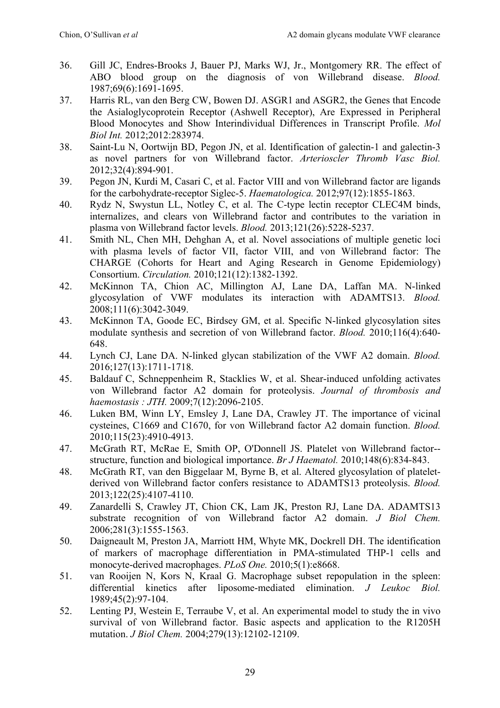- 36. Gill JC, Endres-Brooks J, Bauer PJ, Marks WJ, Jr., Montgomery RR. The effect of ABO blood group on the diagnosis of von Willebrand disease. *Blood.*  1987;69(6):1691-1695.
- 37. Harris RL, van den Berg CW, Bowen DJ. ASGR1 and ASGR2, the Genes that Encode the Asialoglycoprotein Receptor (Ashwell Receptor), Are Expressed in Peripheral Blood Monocytes and Show Interindividual Differences in Transcript Profile. *Mol Biol Int.* 2012;2012:283974.
- 38. Saint-Lu N, Oortwijn BD, Pegon JN, et al. Identification of galectin-1 and galectin-3 as novel partners for von Willebrand factor. *Arterioscler Thromb Vasc Biol.*  2012;32(4):894-901.
- 39. Pegon JN, Kurdi M, Casari C, et al. Factor VIII and von Willebrand factor are ligands for the carbohydrate-receptor Siglec-5. *Haematologica.* 2012;97(12):1855-1863.
- 40. Rydz N, Swystun LL, Notley C, et al. The C-type lectin receptor CLEC4M binds, internalizes, and clears von Willebrand factor and contributes to the variation in plasma von Willebrand factor levels. *Blood.* 2013;121(26):5228-5237.
- 41. Smith NL, Chen MH, Dehghan A, et al. Novel associations of multiple genetic loci with plasma levels of factor VII, factor VIII, and von Willebrand factor: The CHARGE (Cohorts for Heart and Aging Research in Genome Epidemiology) Consortium. *Circulation.* 2010;121(12):1382-1392.
- 42. McKinnon TA, Chion AC, Millington AJ, Lane DA, Laffan MA. N-linked glycosylation of VWF modulates its interaction with ADAMTS13. *Blood.*  2008;111(6):3042-3049.
- 43. McKinnon TA, Goode EC, Birdsey GM, et al. Specific N-linked glycosylation sites modulate synthesis and secretion of von Willebrand factor. *Blood.* 2010;116(4):640- 648.
- 44. Lynch CJ, Lane DA. N-linked glycan stabilization of the VWF A2 domain. *Blood.*  2016;127(13):1711-1718.
- 45. Baldauf C, Schneppenheim R, Stacklies W, et al. Shear-induced unfolding activates von Willebrand factor A2 domain for proteolysis. *Journal of thrombosis and haemostasis : JTH.* 2009;7(12):2096-2105.
- 46. Luken BM, Winn LY, Emsley J, Lane DA, Crawley JT. The importance of vicinal cysteines, C1669 and C1670, for von Willebrand factor A2 domain function. *Blood.*  2010;115(23):4910-4913.
- 47. McGrath RT, McRae E, Smith OP, O'Donnell JS. Platelet von Willebrand factor- structure, function and biological importance. *Br J Haematol.* 2010;148(6):834-843.
- 48. McGrath RT, van den Biggelaar M, Byrne B, et al. Altered glycosylation of plateletderived von Willebrand factor confers resistance to ADAMTS13 proteolysis. *Blood.*  2013;122(25):4107-4110.
- 49. Zanardelli S, Crawley JT, Chion CK, Lam JK, Preston RJ, Lane DA. ADAMTS13 substrate recognition of von Willebrand factor A2 domain. *J Biol Chem.*  2006;281(3):1555-1563.
- 50. Daigneault M, Preston JA, Marriott HM, Whyte MK, Dockrell DH. The identification of markers of macrophage differentiation in PMA-stimulated THP-1 cells and monocyte-derived macrophages. *PLoS One.* 2010;5(1):e8668.
- 51. van Rooijen N, Kors N, Kraal G. Macrophage subset repopulation in the spleen: differential kinetics after liposome-mediated elimination. *J Leukoc Biol.*  1989;45(2):97-104.
- 52. Lenting PJ, Westein E, Terraube V, et al. An experimental model to study the in vivo survival of von Willebrand factor. Basic aspects and application to the R1205H mutation. *J Biol Chem.* 2004;279(13):12102-12109.